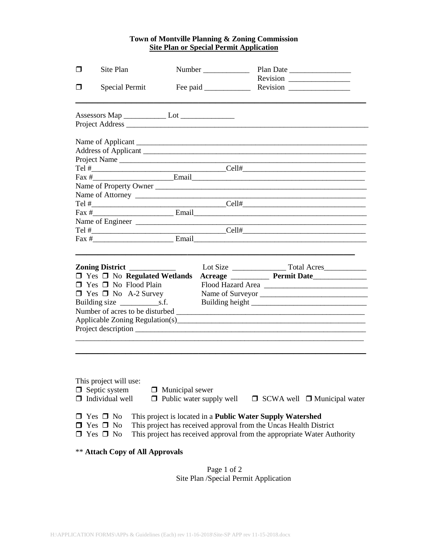## **Town of Montville Planning & Zoning Commission Site Plan or Special Permit Application**

| ⊓   | Site Plan                                                                          |                                 |  | Plan Date                                                               |  |  |
|-----|------------------------------------------------------------------------------------|---------------------------------|--|-------------------------------------------------------------------------|--|--|
|     |                                                                                    |                                 |  | Revision                                                                |  |  |
| l I | <b>Special Permit</b>                                                              |                                 |  |                                                                         |  |  |
|     |                                                                                    |                                 |  |                                                                         |  |  |
|     |                                                                                    |                                 |  |                                                                         |  |  |
|     |                                                                                    |                                 |  |                                                                         |  |  |
|     |                                                                                    |                                 |  |                                                                         |  |  |
|     |                                                                                    |                                 |  |                                                                         |  |  |
|     |                                                                                    |                                 |  |                                                                         |  |  |
|     |                                                                                    |                                 |  |                                                                         |  |  |
|     |                                                                                    |                                 |  | Name of Property Owner                                                  |  |  |
|     |                                                                                    |                                 |  | Name of Attorney                                                        |  |  |
|     |                                                                                    |                                 |  |                                                                         |  |  |
|     |                                                                                    |                                 |  |                                                                         |  |  |
|     |                                                                                    |                                 |  |                                                                         |  |  |
|     |                                                                                    |                                 |  |                                                                         |  |  |
|     |                                                                                    |                                 |  |                                                                         |  |  |
|     | Zoning District _____________                                                      |                                 |  |                                                                         |  |  |
|     | $\Box$ Yes $\Box$ No Regulated Wetlands                                            |                                 |  |                                                                         |  |  |
|     | $\Box$ Yes $\Box$ No Flood Plain                                                   |                                 |  |                                                                         |  |  |
|     | $\Box$ Yes $\Box$ No A-2 Survey                                                    |                                 |  | Name of Surveyor                                                        |  |  |
|     |                                                                                    |                                 |  |                                                                         |  |  |
|     |                                                                                    |                                 |  |                                                                         |  |  |
|     |                                                                                    |                                 |  |                                                                         |  |  |
|     |                                                                                    |                                 |  |                                                                         |  |  |
|     |                                                                                    |                                 |  |                                                                         |  |  |
|     |                                                                                    |                                 |  |                                                                         |  |  |
|     |                                                                                    |                                 |  |                                                                         |  |  |
|     |                                                                                    |                                 |  |                                                                         |  |  |
|     |                                                                                    |                                 |  |                                                                         |  |  |
|     | This project will use:                                                             |                                 |  |                                                                         |  |  |
|     | $\Box$ Septic system                                                               | $\Box$ Municipal sewer          |  |                                                                         |  |  |
|     | $\Box$ Individual well                                                             | $\Box$ Public water supply well |  | $\Box$ SCWA well $\Box$ Municipal water                                 |  |  |
|     |                                                                                    |                                 |  |                                                                         |  |  |
|     | $\Box$ Yes $\Box$ No                                                               |                                 |  | This project is located in a <b>Public Water Supply Watershed</b>       |  |  |
|     | Yes $\Box$ No<br>This project has received approval from the Uncas Health District |                                 |  |                                                                         |  |  |
|     | $\Box$ Yes $\Box$ No                                                               |                                 |  | This project has received approval from the appropriate Water Authority |  |  |
|     | <b>** Attach Copy of All Approvals</b>                                             |                                 |  |                                                                         |  |  |

 Page 1 of 2 Site Plan /Special Permit Application